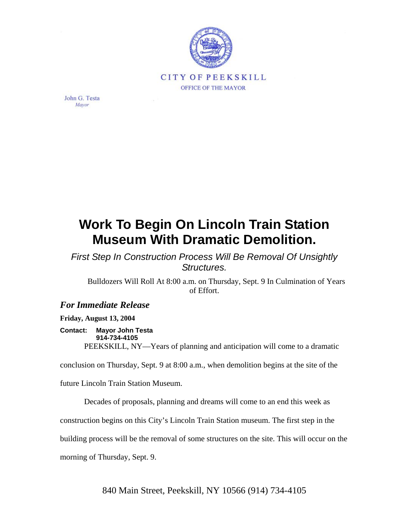

John G. Testa Mayor

## **Work To Begin On Lincoln Train Station Museum With Dramatic Demolition.**

*First Step In Construction Process Will Be Removal Of Unsightly Structures.*

Bulldozers Will Roll At 8:00 a.m. on Thursday, Sept. 9 In Culmination of Years of Effort.

## *For Immediate Release*

**Friday, August 13, 2004** 

## **Contact: Mayor John Testa 914-734-4105**

PEEKSKILL, NY—Years of planning and anticipation will come to a dramatic

conclusion on Thursday, Sept. 9 at 8:00 a.m., when demolition begins at the site of the

future Lincoln Train Station Museum.

Decades of proposals, planning and dreams will come to an end this week as

construction begins on this City's Lincoln Train Station museum. The first step in the

building process will be the removal of some structures on the site. This will occur on the

morning of Thursday, Sept. 9.

840 Main Street, Peekskill, NY 10566 (914) 734-4105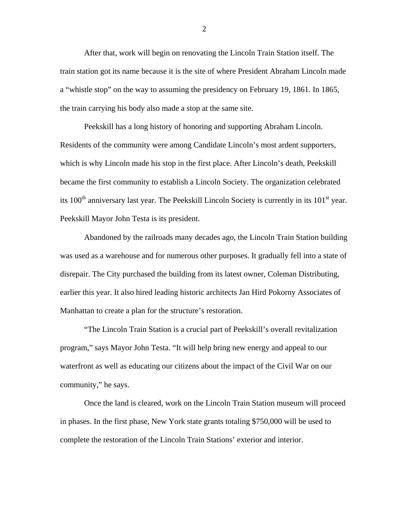After that, work will begin on renovating the Lincoln Train Station itself. The train station got its name because it is the site of where President Abraham Lincoln made a "whistle stop" on the way to assuming the presidency on February 19, 1861. In 1865, the train carrying his body also made a stop at the same site.

Peekskill has a long history of honoring and supporting Abraham Lincoln. Residents of the community were among Candidate Lincoln's most ardent supporters, which is why Lincoln made his stop in the first place. After Lincoln's death, Peekskill became the first community to establish a Lincoln Society. The organization celebrated its 100<sup>th</sup> anniversary last year. The Peekskill Lincoln Society is currently in its 101<sup>st</sup> year. Peekskill Mayor John Testa is its president.

Abandoned by the railroads many decades ago, the Lincoln Train Station building was used as a warehouse and for numerous other purposes. It gradually fell into a state of disrepair. The City purchased the building from its latest owner, Coleman Distributing, earlier this year. It also hired leading historic architects Jan Hird Pokorny Associates of Manhattan to create a plan for the structure's restoration.

"The Lincoln Train Station is a crucial part of Peekskill's overall revitalization program," says Mayor John Testa. "It will help bring new energy and appeal to our waterfront as well as educating our citizens about the impact of the Civil War on our community," he says.

Once the land is cleared, work on the Lincoln Train Station museum will proceed in phases. In the first phase, New York state grants totaling \$750,000 will be used to complete the restoration of the Lincoln Train Stations' exterior and interior.